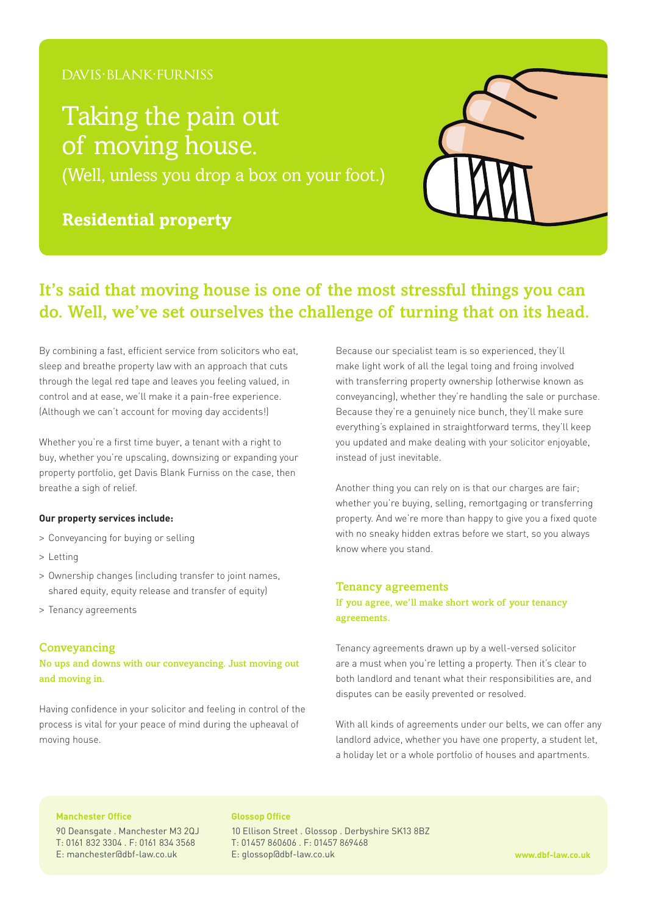### DAVIS·BLANK·FURNISS

# Taking the pain out of moving house.

(Well, unless you drop a box on your foot.)

## **Residential property**



## It's said that moving house is one of the most stressful things you can do. Well, we've set ourselves the challenge of turning that on its head.

By combining a fast, efficient service from solicitors who eat, sleep and breathe property law with an approach that cuts through the legal red tape and leaves you feeling valued, in control and at ease, we'll make it a pain-free experience. (Although we can't account for moving day accidents!)

Whether you're a first time buyer, a tenant with a right to buy, whether you're upscaling, downsizing or expanding your property portfolio, get Davis Blank Furniss on the case, then breathe a sigh of relief.

#### **Our property services include:**

- > Conveyancing for buying or selling
- > Letting
- > Ownership changes (including transfer to joint names, shared equity, equity release and transfer of equity)
- > Tenancy agreements

#### **Conveyancing**

No ups and downs with our conveyancing. Just moving out and moving in.

Having confidence in your solicitor and feeling in control of the process is vital for your peace of mind during the upheaval of moving house.

Because our specialist team is so experienced, they'll make light work of all the legal toing and froing involved with transferring property ownership (otherwise known as conveyancing), whether they're handling the sale or purchase. Because they're a genuinely nice bunch, they'll make sure everything's explained in straightforward terms, they'll keep you updated and make dealing with your solicitor enjoyable, instead of just inevitable.

Another thing you can rely on is that our charges are fair; whether you're buying, selling, remortgaging or transferring property. And we're more than happy to give you a fixed quote with no sneaky hidden extras before we start, so you always know where you stand.

#### Tenancy agreements

If you agree, we'll make short work of your tenancy agreements.

Tenancy agreements drawn up by a well-versed solicitor are a must when you're letting a property. Then it's clear to both landlord and tenant what their responsibilities are, and disputes can be easily prevented or resolved.

With all kinds of agreements under our belts, we can offer any landlord advice, whether you have one property, a student let, a holiday let or a whole portfolio of houses and apartments.

#### **Manchester Office**

90 Deansgate . Manchester M3 2QJ T: 0161 832 3304 . F: 0161 834 3568 E: manchester@dbf-law.co.uk

#### **Glossop Office**

10 Ellison Street . Glossop . Derbyshire SK13 8BZ T: 01457 860606 . F: 01457 869468 E: glossop@dbf-law.co.uk **www.dbf-law.co.uk**